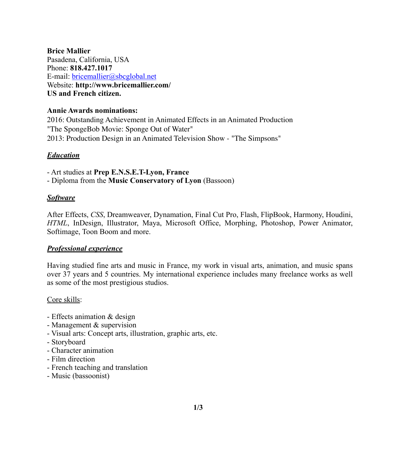**Brice Mallier**  Pasadena, California, USA Phone: **818.427.1017** E-mail: bricemallier@sbcglobal.net Website: **http://www.bricemallier.com/ US and French citizen.**

#### **Annie Awards nominations:**

2016: Outstanding Achievement in Animated Effects in an Animated Production "The SpongeBob Movie: Sponge Out of Water" 2013: Production Design in an Animated Television Show - "The Simpsons"

### *Education*

- Art studies at **Prep E.N.S.E.T-Lyon, France**

- Diploma from the **Music Conservatory of Lyon** (Bassoon)

## *Software*

After Effects, *CSS*, Dreamweaver, Dynamation, Final Cut Pro, Flash, FlipBook, Harmony, Houdini, *HTML*, InDesign, Illustrator, Maya, Microsoft Office, Morphing, Photoshop, Power Animator, Softimage, Toon Boom and more.

### *Professional experience*

Having studied fine arts and music in France, my work in visual arts, animation, and music spans over 37 years and 5 countries. My international experience includes many freelance works as well as some of the most prestigious studios.

### Core skills:

- Effects animation & design
- Management & supervision
- Visual arts: Concept arts, illustration, graphic arts, etc.
- Storyboard
- Character animation
- Film direction
- French teaching and translation
- Music (bassoonist)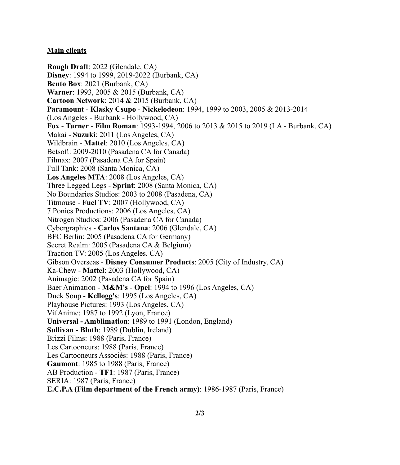### **Main clients**

**Rough Draft**: 2022 (Glendale, CA) **Disney**: 1994 to 1999, 2019-2022 (Burbank, CA) **Bento Box**: 2021 (Burbank, CA) **Warner**: 1993, 2005 & 2015 (Burbank, CA) **Cartoon Network**: 2014 & 2015 (Burbank, CA) **Paramount** - **Klasky Csupo** - **Nickelodeon**: 1994, 1999 to 2003, 2005 & 2013-2014 (Los Angeles - Burbank - Hollywood, CA) **Fox** - **Turner** - **Film Roman**: 1993-1994, 2006 to 2013 & 2015 to 2019 (LA - Burbank, CA) Makai - **Suzuki**: 2011 (Los Angeles, CA) Wildbrain - **Mattel**: 2010 (Los Angeles, CA) Betsoft: 2009-2010 (Pasadena CA for Canada) Filmax: 2007 (Pasadena CA for Spain) Full Tank: 2008 (Santa Monica, CA) **Los Angeles MTA**: 2008 (Los Angeles, CA) Three Legged Legs - **Sprint**: 2008 (Santa Monica, CA) No Boundaries Studios: 2003 to 2008 (Pasadena, CA) Titmouse - **Fuel TV**: 2007 (Hollywood, CA) 7 Ponies Productions: 2006 (Los Angeles, CA) Nitrogen Studios: 2006 (Pasadena CA for Canada) Cybergraphics - **Carlos Santana**: 2006 (Glendale, CA) BFC Berlin: 2005 (Pasadena CA for Germany) Secret Realm: 2005 (Pasadena CA & Belgium) Traction TV: 2005 (Los Angeles, CA) Gibson Overseas - **Disney Consumer Products**: 2005 (City of Industry, CA) Ka-Chew - **Mattel**: 2003 (Hollywood, CA) Animagic: 2002 (Pasadena CA for Spain) Baer Animation - **M&M's** - **Opel**: 1994 to 1996 (Los Angeles, CA) Duck Soup - **Kellogg's**: 1995 (Los Angeles, CA) Playhouse Pictures: 1993 (Los Angeles, CA) Vit'Anime: 1987 to 1992 (Lyon, France) **Universal - Amblimation**: 1989 to 1991 (London, England) **Sullivan - Bluth**: 1989 (Dublin, Ireland) Brizzi Films: 1988 (Paris, France) Les Cartooneurs: 1988 (Paris, France) Les Cartooneurs Associés: 1988 (Paris, France) **Gaumont**: 1985 to 1988 (Paris, France) AB Production - **TF1**: 1987 (Paris, France) SERIA: 1987 (Paris, France) **E.C.P.A (Film department of the French army)**: 1986-1987 (Paris, France)